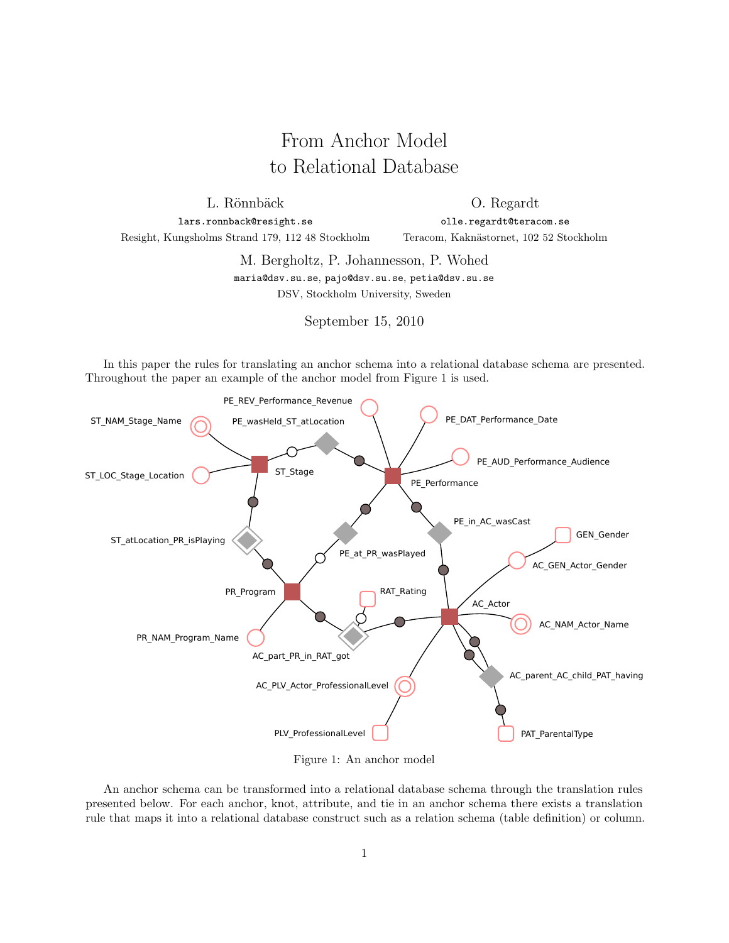# From Anchor Model to Relational Database

L. Rönnbäck

O. Regardt

lars.ronnback@resight.se Resight, Kungsholms Strand 179, 112 48 Stockholm

olle.regardt@teracom.se Teracom, Kaknästornet, 102 52 Stockholm

M. Bergholtz, P. Johannesson, P. Wohed

maria@dsv.su.se, pajo@dsv.su.se, petia@dsv.su.se DSV, Stockholm University, Sweden

September 15, 2010

In this paper the rules for translating an anchor schema into a relational database schema are presented. Throughout the paper an example of the anchor model from Figure 1 is used.



Figure 1: An anchor model

An anchor schema can be transformed into a relational database schema through the translation rules presented below. For each anchor, knot, attribute, and tie in an anchor schema there exists a translation rule that maps it into a relational database construct such as a relation schema (table definition) or column.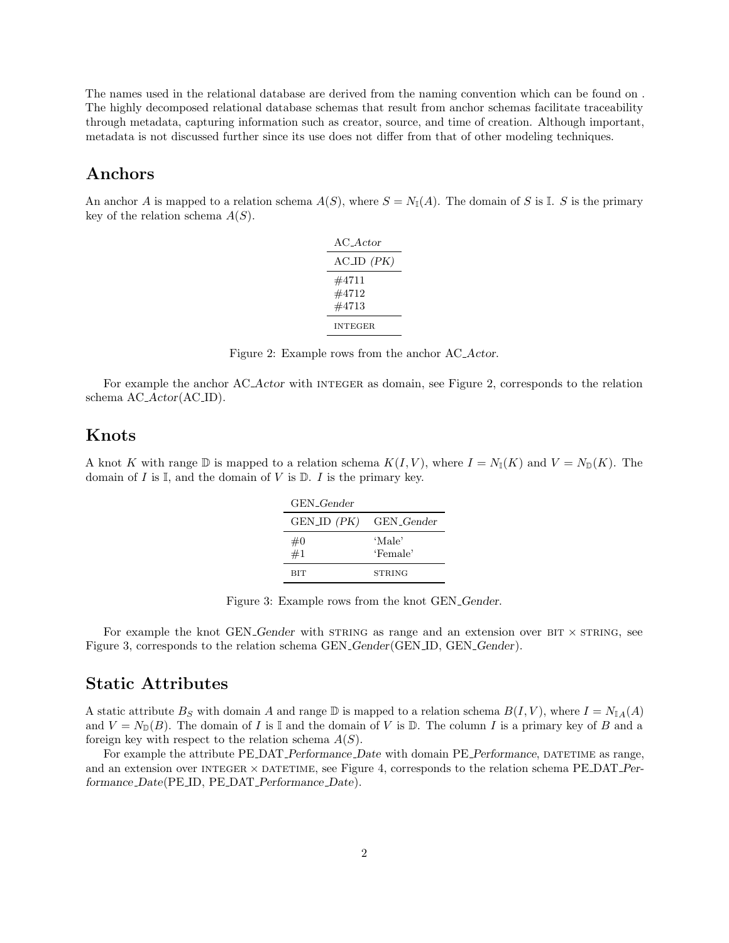The names used in the relational database are derived from the naming convention which can be found on . The highly decomposed relational database schemas that result from anchor schemas facilitate traceability through metadata, capturing information such as creator, source, and time of creation. Although important, metadata is not discussed further since its use does not differ from that of other modeling techniques.

### Anchors

An anchor A is mapped to a relation schema  $A(S)$ , where  $S = N_{\mathbb{I}}(A)$ . The domain of S is I. S is the primary key of the relation schema  $A(S)$ .

| AC Actor                |
|-------------------------|
| $ACID$ $(PK)$           |
| #4711<br>#4712<br>#4713 |
| <b>INTEGER</b>          |

Figure 2: Example rows from the anchor AC Actor.

For example the anchor AC<sub>-</sub>Actor with INTEGER as domain, see Figure 2, corresponds to the relation schema AC\_Actor(AC\_ID).

#### Knots

A knot K with range  $\mathbb D$  is mapped to a relation schema  $K(I, V)$ , where  $I = N_{\mathbb I}(K)$  and  $V = N_{\mathbb D}(K)$ . The domain of  $I$  is  $\mathbb{I}$ , and the domain of  $V$  is  $\mathbb{D}$ .  $I$  is the primary key.

| GEN <sub>-Gender</sub> |                        |
|------------------------|------------------------|
| GEN_ID (PK)            | GEN <sub>-Gender</sub> |
| #0                     | 'Male'                 |
| #1                     | 'Female'               |
| <b>BIT</b>             | <b>STRING</b>          |

Figure 3: Example rows from the knot GEN Gender.

For example the knot GEN Gender with  $STRING$  as range and an extension over  $BIT \times STRING$ , see Figure 3, corresponds to the relation schema GEN Gender(GEN ID, GEN Gender).

#### Static Attributes

A static attribute  $B_S$  with domain A and range D is mapped to a relation schema  $B(I, V)$ , where  $I = N_{\mathbb{I}A}(A)$ and  $V = N_{\mathbb{D}}(B)$ . The domain of I is I and the domain of V is D. The column I is a primary key of B and a foreign key with respect to the relation schema  $A(S)$ .

For example the attribute PE DAT Performance Date with domain PE Performance, DATETIME as range, and an extension over INTEGER  $\times$  DATETIME, see Figure 4, corresponds to the relation schema PE\_DAT\_Performance Date(PE ID, PE DAT Performance Date).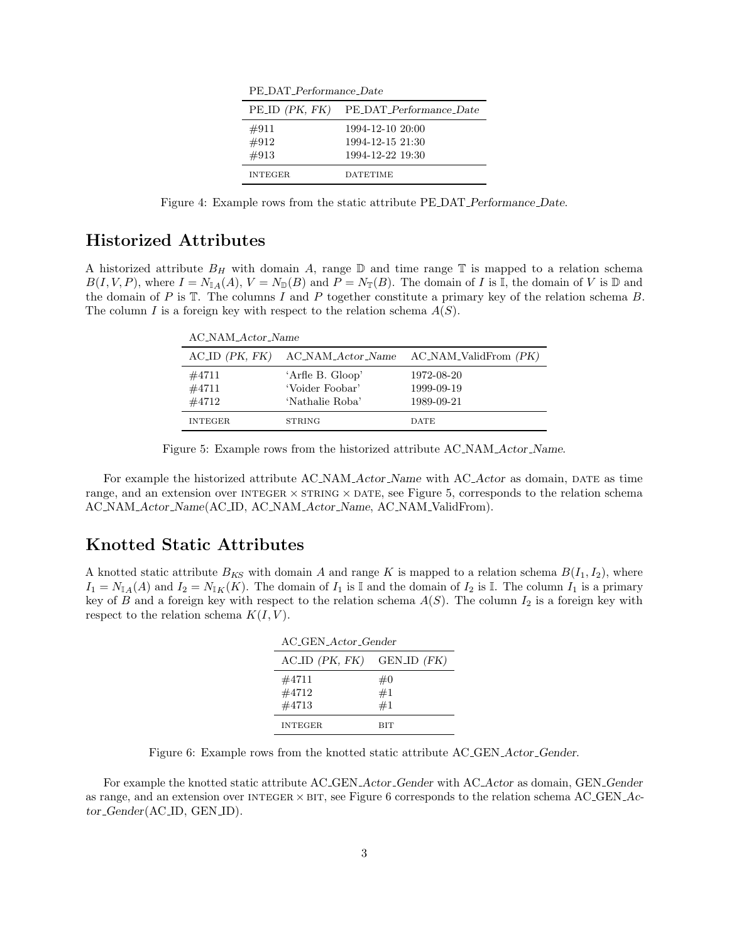| PE_DAT_Performance_Date |                                                          |  |
|-------------------------|----------------------------------------------------------|--|
| $PE\_ID$ $(PK, FK)$     | PE_DAT_Performance_Date                                  |  |
| #911<br>#912<br>#913    | 1994-12-10 20:00<br>1994-12-15 21:30<br>1994-12-22 19:30 |  |
| <b>INTEGER</b>          | <b>DATETIME</b>                                          |  |

PE\_DAT\_Performance\_Date

Figure 4: Example rows from the static attribute PE DAT Performance Date.

# Historized Attributes

A historized attribute  $B_H$  with domain A, range  $\mathbb D$  and time range  $\mathbb T$  is mapped to a relation schema  $B(I, V, P)$ , where  $I = N_{\mathbb{I}_A}(A), V = N_{\mathbb{D}}(B)$  and  $P = N_{\mathbb{T}}(B)$ . The domain of I is I, the domain of V is D and the domain of P is  $\mathbb T$ . The columns I and P together constitute a primary key of the relation schema B. The column I is a foreign key with respect to the relation schema  $A(S)$ .

| AC_NAM_Actor_Name       |                                                        |                                        |
|-------------------------|--------------------------------------------------------|----------------------------------------|
|                         | $ACID$ (PK, FK) $AC_NAM\_Actor\_Name$                  | $AC_NAM_ValidFrom (PK)$                |
| #4711<br>#4711<br>#4712 | 'Arfle B. Gloop'<br>'Voider Foobar'<br>'Nathalie Roba' | 1972-08-20<br>1999-09-19<br>1989-09-21 |
| <b>INTEGER</b>          | <b>STRING</b>                                          | <b>DATE</b>                            |

Figure 5: Example rows from the historized attribute AC NAM Actor Name.

For example the historized attribute AC\_NAM\_Actor\_Name with AC\_Actor as domain, DATE as time range, and an extension over INTEGER  $\times$  STRING  $\times$  DATE, see Figure 5, corresponds to the relation schema AC NAM Actor Name(AC ID, AC NAM Actor Name, AC NAM ValidFrom).

#### Knotted Static Attributes

A knotted static attribute  $B_{KS}$  with domain A and range K is mapped to a relation schema  $B(I_1, I_2)$ , where  $I_1 = N_{\mathbb{I}_A}(A)$  and  $I_2 = N_{\mathbb{I}_K}(K)$ . The domain of  $I_1$  is I and the domain of  $I_2$  is I. The column  $I_1$  is a primary key of B and a foreign key with respect to the relation schema  $A(S)$ . The column  $I_2$  is a foreign key with respect to the relation schema  $K(I, V)$ .

| AC_GEN_Actor_Gender              |                |  |
|----------------------------------|----------------|--|
| $ACID$ ( <i>PK</i> , <i>FK</i> ) | GEN_ID (FK)    |  |
| #4711<br>#4712<br>#4713          | #0<br>#1<br>#1 |  |
| <b>INTEGER</b>                   | RIT            |  |

Figure 6: Example rows from the knotted static attribute AC GEN Actor Gender.

For example the knotted static attribute AC GEN Actor Gender with AC Actor as domain, GEN Gender as range, and an extension over INTEGER  $\times$  BIT, see Figure 6 corresponds to the relation schema AC GEN  $Ac$ tor\_Gender(AC\_ID, GEN\_ID).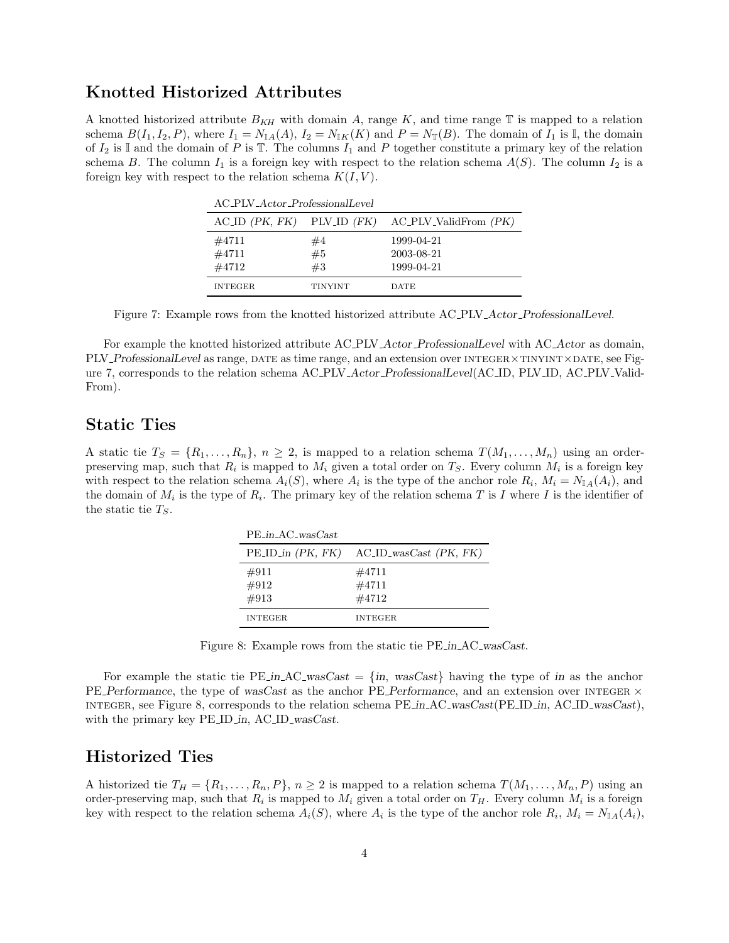### Knotted Historized Attributes

A knotted historized attribute  $B_{KH}$  with domain A, range K, and time range T is mapped to a relation schema  $B(I_1, I_2, P)$ , where  $I_1 = N_{\mathbb{I}A}(A), I_2 = N_{\mathbb{I}K}(K)$  and  $P = N_{\mathbb{I}T}(B)$ . The domain of  $I_1$  is  $\mathbb{I}$ , the domain of  $I_2$  is I and the domain of P is T. The columns  $I_1$  and P together constitute a primary key of the relation schema B. The column  $I_1$  is a foreign key with respect to the relation schema  $A(S)$ . The column  $I_2$  is a foreign key with respect to the relation schema  $K(I, V)$ .

| AC_PLV_Actor_ProfessionalLevel |         |                                                                          |
|--------------------------------|---------|--------------------------------------------------------------------------|
|                                |         | $\Lambda$ C_ID $(PK, FK)$ PLV_ID $(FK)$ $\Lambda$ C_PLV_ValidFrom $(PK)$ |
| #4711                          | #4      | 1999-04-21                                                               |
| #4711                          | #5      | 2003-08-21                                                               |
| #4712                          | #3      | 1999-04-21                                                               |
| <b>INTEGER</b>                 | TINYINT | <b>DATE</b>                                                              |

Figure 7: Example rows from the knotted historized attribute AC PLV Actor ProfessionalLevel.

For example the knotted historized attribute AC\_PLV\_Actor\_ProfessionalLevel with AC\_Actor as domain, PLV\_ProfessionalLevel as range, DATE as time range, and an extension over INTEGER×TINYINT×DATE, see Figure 7, corresponds to the relation schema AC PLV Actor ProfessionalLevel(AC ID, PLV ID, AC PLV Valid-From).

#### Static Ties

A static tie  $T_S = \{R_1, \ldots, R_n\}, n \geq 2$ , is mapped to a relation schema  $T(M_1, \ldots, M_n)$  using an orderpreserving map, such that  $R_i$  is mapped to  $M_i$  given a total order on  $T_S$ . Every column  $M_i$  is a foreign key with respect to the relation schema  $A_i(S)$ , where  $A_i$  is the type of the anchor role  $R_i$ ,  $M_i = N_{\mathbb{I}A}(A_i)$ , and the domain of  $M_i$  is the type of  $R_i$ . The primary key of the relation schema T is I where I is the identifier of the static tie  $T<sub>S</sub>$ .

| $PE_in_AC_wasCast$    |                                          |
|-----------------------|------------------------------------------|
| $PE.ID_in$ $(PK, FK)$ | $ACID$ <sub>-was</sub> $Cast$ $(PK, FK)$ |
| #911<br>#912<br>#913  | #4711<br>#4711<br>#4712                  |
| <b>INTEGER</b>        | INTEGER                                  |

Figure 8: Example rows from the static tie PE in AC wasCast.

For example the static tie PE in AC wasCast =  $\{in,$  wasCast $\}$  having the type of in as the anchor PE Performance, the type of wasCast as the anchor PE Performance, and an extension over INTEGER  $\times$ integer, see Figure 8, corresponds to the relation schema PE in AC wasCast(PE ID in, AC ID wasCast), with the primary key PE\_ID\_in, AC\_ID\_wasCast.

#### Historized Ties

A historized tie  $T_H = \{R_1, \ldots, R_n, P\}, n \geq 2$  is mapped to a relation schema  $T(M_1, \ldots, M_n, P)$  using an order-preserving map, such that  $R_i$  is mapped to  $M_i$  given a total order on  $T_H$ . Every column  $M_i$  is a foreign key with respect to the relation schema  $A_i(S)$ , where  $A_i$  is the type of the anchor role  $R_i$ ,  $M_i = N_{\mathbb{I}A}(A_i)$ ,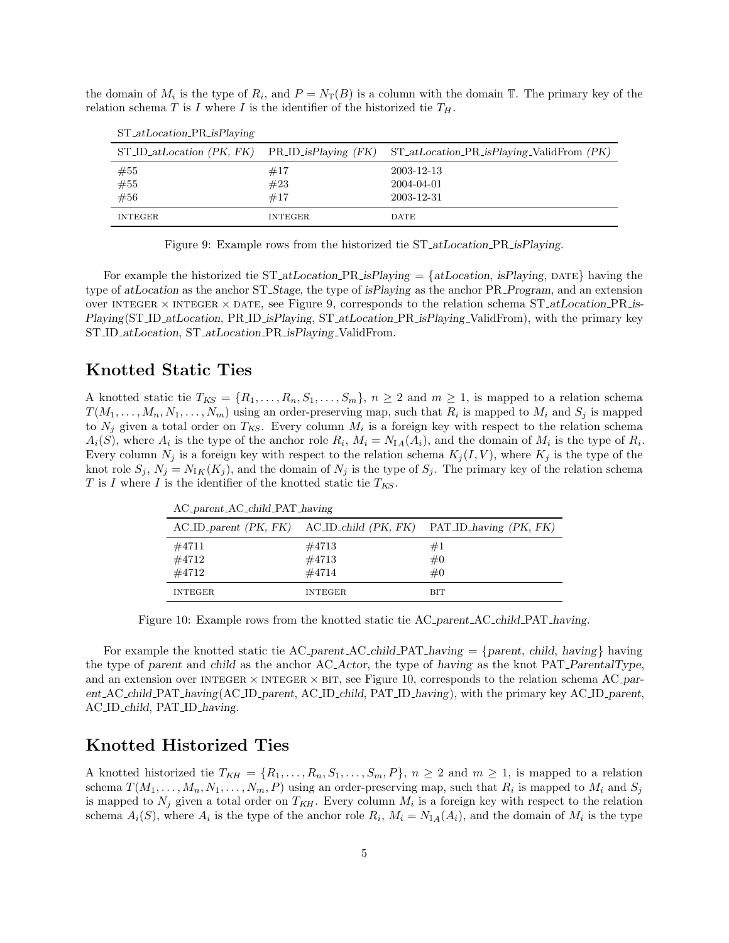the domain of  $M_i$  is the type of  $R_i$ , and  $P = N_{\mathbb{T}}(B)$  is a column with the domain  $\mathbb{T}$ . The primary key of the relation schema T is I where I is the identifier of the historized tie  $T_H$ .

| $\sigma$ = $\alpha$ $\sigma$ = $\alpha$ $\sigma$ = $\sigma$ = $\sigma$ = $\sigma$ = $\sigma$ = $\sigma$ = $\sigma$ = $\sigma$ = $\sigma$ = $\sigma$ = $\sigma$ = $\sigma$ = $\sigma$ = $\sigma$ = $\sigma$ = $\sigma$ = $\sigma$ = $\sigma$ = $\sigma$ = $\sigma$ = $\sigma$ = $\sigma$ = $\sigma$ = $\sigma$ = $\sigma$ = $\sigma$ = $\sigma$ = $\sigma$ = |                   |                                                                                                    |
|-------------------------------------------------------------------------------------------------------------------------------------------------------------------------------------------------------------------------------------------------------------------------------------------------------------------------------------------------------------|-------------------|----------------------------------------------------------------------------------------------------|
|                                                                                                                                                                                                                                                                                                                                                             |                   | $ST\_ID\_atLocation$ (PK, FK) PR_ID_isPlaying (FK) $ST\_atLocation\_PR\_isPlaying\_ValidFrom$ (PK) |
| #55<br>#55<br>#56                                                                                                                                                                                                                                                                                                                                           | #17<br>#23<br>#17 | 2003-12-13<br>2004-04-01<br>2003-12-31                                                             |
| <b>INTEGER</b>                                                                                                                                                                                                                                                                                                                                              | <b>INTEGER</b>    | <b>DATE</b>                                                                                        |

ST atLocation PR isPlaying

Figure 9: Example rows from the historized tie ST<sub>-atLocation-PR-isPlaying</sub>.

For example the historized tie ST<sub>-atLocation</sub> PR isPlaying  $= \{atLocation, isPlaying, \text{DATE}\}\$ having the type of atLocation as the anchor ST\_Stage, the type of isPlaying as the anchor PR\_Program, and an extension over INTEGER  $\times$  INTEGER  $\times$  DATE, see Figure 9, corresponds to the relation schema ST<sub>-atLocation</sub> PR is-Playing(ST\_ID\_atLocation, PR\_ID\_isPlaying, ST\_atLocation\_PR\_isPlaying\_ValidFrom), with the primary key ST\_ID\_atLocation, ST\_atLocation\_PR\_isPlaying\_ValidFrom.

#### Knotted Static Ties

A knotted static tie  $T_{KS} = \{R_1, \ldots, R_n, S_1, \ldots, S_m\}, n \geq 2$  and  $m \geq 1$ , is mapped to a relation schema  $T(M_1, \ldots, M_n, N_1, \ldots, N_m)$  using an order-preserving map, such that  $R_i$  is mapped to  $M_i$  and  $S_j$  is mapped to  $N_j$  given a total order on  $T_{KS}$ . Every column  $M_i$  is a foreign key with respect to the relation schema  $A_i(S)$ , where  $A_i$  is the type of the anchor role  $R_i$ ,  $M_i = N_{\mathbb{I}A}(A_i)$ , and the domain of  $M_i$  is the type of  $R_i$ . Every column  $N_j$  is a foreign key with respect to the relation schema  $K_j(I, V)$ , where  $K_j$  is the type of the knot role  $S_j$ ,  $N_j = N_{IK}(K_j)$ , and the domain of  $N_j$  is the type of  $S_j$ . The primary key of the relation schema T is I where I is the identifier of the knotted static tie  $T_{KS}$ .

| $AC_parent\_AC_child\_PATH\_having$ |                         |                                                                               |
|-------------------------------------|-------------------------|-------------------------------------------------------------------------------|
|                                     |                         | $ACID$ -parent $(PK, FK)$ $ACID$ -child $(PK, FK)$ $PATID$ -having $(PK, FK)$ |
| #4711<br>#4712<br>#4712             | #4713<br>#4713<br>#4714 | #1<br>#0<br>#0                                                                |
| <b>INTEGER</b>                      | <b>INTEGER</b>          | <b>BIT</b>                                                                    |

Figure 10: Example rows from the knotted static tie AC *parent AC* child PAT having.

For example the knotted static tie AC parent AC child PAT having  $=$  {parent, child, having} having the type of parent and child as the anchor AC Actor, the type of having as the knot PAT ParentalType, and an extension over INTEGER  $\times$  INTEGER  $\times$  BIT, see Figure 10, corresponds to the relation schema AC parent AC child PAT having(AC ID parent, AC ID child, PAT ID having), with the primary key AC ID parent, AC ID child, PAT ID having.

# Knotted Historized Ties

A knotted historized tie  $T_{KH} = \{R_1, \ldots, R_n, S_1, \ldots, S_m, P\}$ ,  $n \geq 2$  and  $m \geq 1$ , is mapped to a relation schema  $T(M_1, \ldots, M_n, N_1, \ldots, N_m, P)$  using an order-preserving map, such that  $R_i$  is mapped to  $M_i$  and  $S_j$ is mapped to  $N_j$  given a total order on  $T_{KH}$ . Every column  $M_i$  is a foreign key with respect to the relation schema  $A_i(S)$ , where  $A_i$  is the type of the anchor role  $R_i$ ,  $M_i = N_{\mathbb{I}_A}(A_i)$ , and the domain of  $M_i$  is the type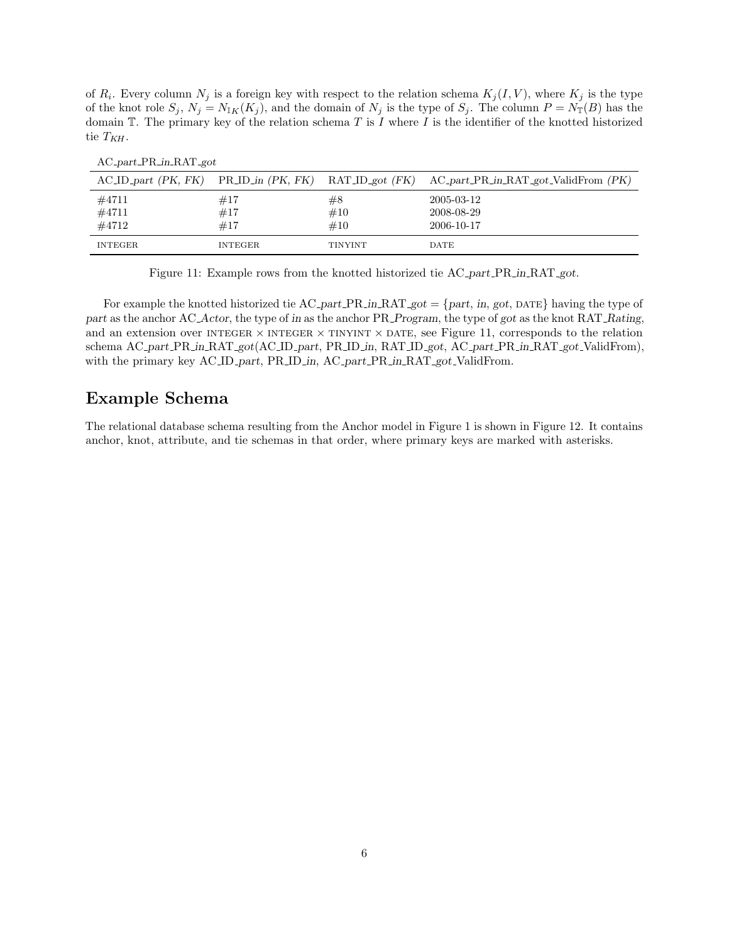of  $R_i$ . Every column  $N_j$  is a foreign key with respect to the relation schema  $K_j(I, V)$ , where  $K_j$  is the type of the knot role  $S_j$ ,  $N_j = N_{\mathbb{I}_K}(K_j)$ , and the domain of  $N_j$  is the type of  $S_j$ . The column  $P = N_{\mathbb{I}}(B)$  has the domain  $\mathbb T$ . The primary key of the relation schema T is I where I is the identifier of the knotted historized tie  $T_{KH}$ .

|                |                |                | $\Lambda$ C_ID_part (PK, FK) PR_ID_in (PK, FK) RAT_ID_got (FK) $\Lambda$ C_part_PR_in_RAT_got_ValidFrom (PK) |
|----------------|----------------|----------------|--------------------------------------------------------------------------------------------------------------|
| #4711          | #17            | #8             | 2005-03-12                                                                                                   |
| #4711          | #17            | #10            | 2008-08-29                                                                                                   |
| #4712          | #17            | $\#10$         | 2006-10-17                                                                                                   |
| <b>INTEGER</b> | <b>INTEGER</b> | <b>TINYINT</b> | DATE                                                                                                         |

AC part PR in RAT got

Figure 11: Example rows from the knotted historized tie AC part PR in RAT got.

For example the knotted historized tie AC part PR in RAT got  $=$  {part, in, got, DATE} having the type of part as the anchor AC<sub>-</sub>Actor, the type of in as the anchor PR<sub>-</sub>Program, the type of got as the knot RAT<sub>-</sub>Rating, and an extension over INTEGER  $\times$  INTEGER  $\times$  TINYINT  $\times$  DATE, see Figure 11, corresponds to the relation schema AC part PR in RAT got(AC ID part, PR ID in, RAT ID got, AC part PR in RAT got ValidFrom), with the primary key AC ID part, PR ID in, AC part PR in RAT got ValidFrom.

## Example Schema

The relational database schema resulting from the Anchor model in Figure 1 is shown in Figure 12. It contains anchor, knot, attribute, and tie schemas in that order, where primary keys are marked with asterisks.